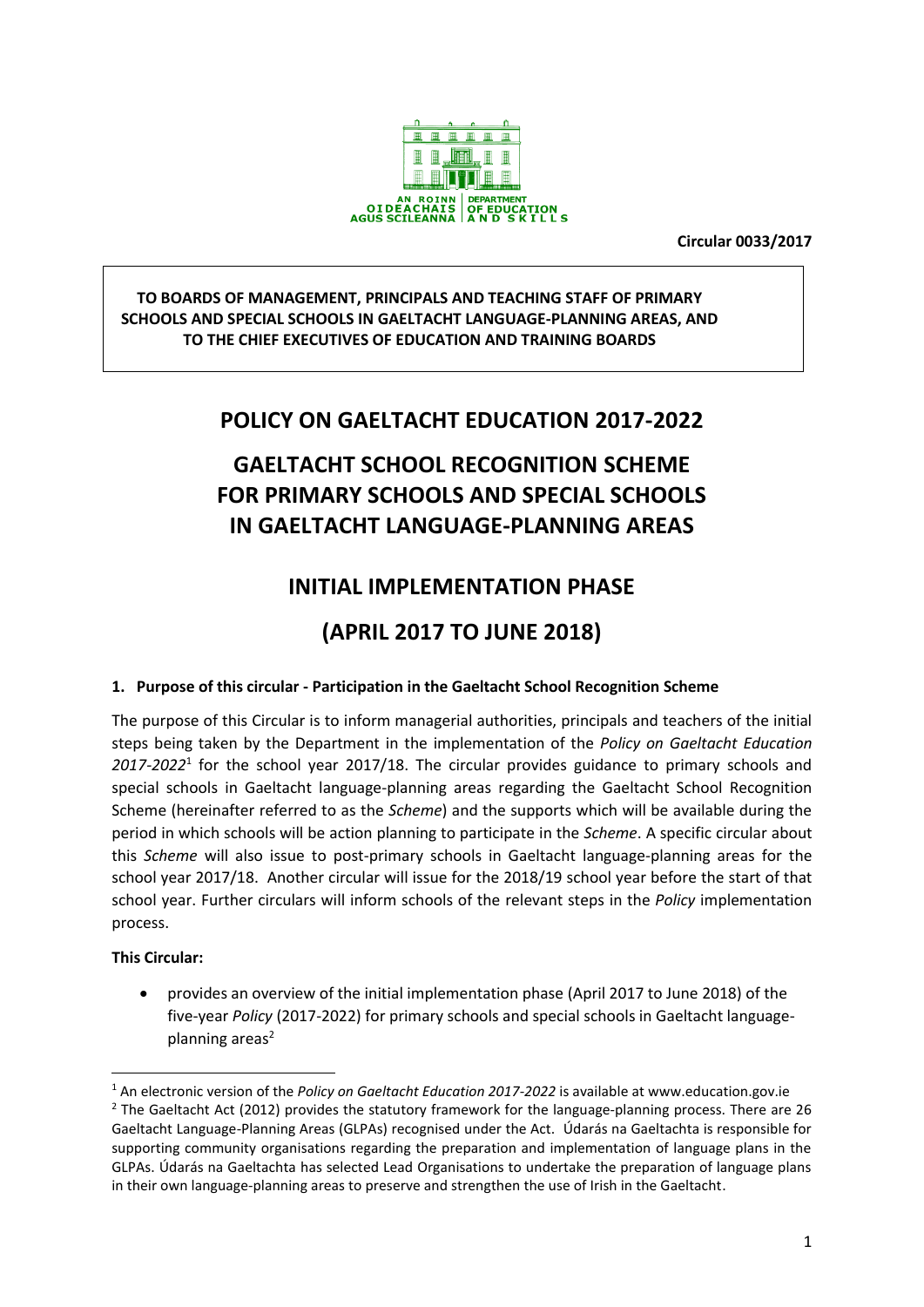

**Circular 0033/2017**

### **TO BOARDS OF MANAGEMENT, PRINCIPALS AND TEACHING STAFF OF PRIMARY SCHOOLS AND SPECIAL SCHOOLS IN GAELTACHT LANGUAGE-PLANNING AREAS, AND TO THE CHIEF EXECUTIVES OF EDUCATION AND TRAINING BOARDS**

# **POLICY ON GAELTACHT EDUCATION 2017-2022**

# **GAELTACHT SCHOOL RECOGNITION SCHEME FOR PRIMARY SCHOOLS AND SPECIAL SCHOOLS IN GAELTACHT LANGUAGE-PLANNING AREAS**

# **INITIAL IMPLEMENTATION PHASE**

# **(APRIL 2017 TO JUNE 2018)**

## **1. Purpose of this circular - Participation in the Gaeltacht School Recognition Scheme**

The purpose of this Circular is to inform managerial authorities, principals and teachers of the initial steps being taken by the Department in the implementation of the *Policy on Gaeltacht Education 2017-2022*<sup>1</sup> for the school year 2017/18. The circular provides guidance to primary schools and special schools in Gaeltacht language-planning areas regarding the Gaeltacht School Recognition Scheme (hereinafter referred to as the *Scheme*) and the supports which will be available during the period in which schools will be action planning to participate in the *Scheme*. A specific circular about this *Scheme* will also issue to post-primary schools in Gaeltacht language-planning areas for the school year 2017/18. Another circular will issue for the 2018/19 school year before the start of that school year. Further circulars will inform schools of the relevant steps in the *Policy* implementation process.

### **This Circular:**

**.** 

 provides an overview of the initial implementation phase (April 2017 to June 2018) of the five-year *Policy* (2017-2022) for primary schools and special schools in Gaeltacht languageplanning areas<sup>2</sup>

<sup>1</sup> An electronic version of the *Policy on Gaeltacht Education 2017-2022* is available at www.education.gov.ie <sup>2</sup> The Gaeltacht Act (2012) provides the statutory framework for the language-planning process. There are 26 Gaeltacht Language-Planning Areas (GLPAs) recognised under the Act. Údarás na Gaeltachta is responsible for supporting community organisations regarding the preparation and implementation of language plans in the GLPAs. Údarás na Gaeltachta has selected Lead Organisations to undertake the preparation of language plans in their own language-planning areas to preserve and strengthen the use of Irish in the Gaeltacht.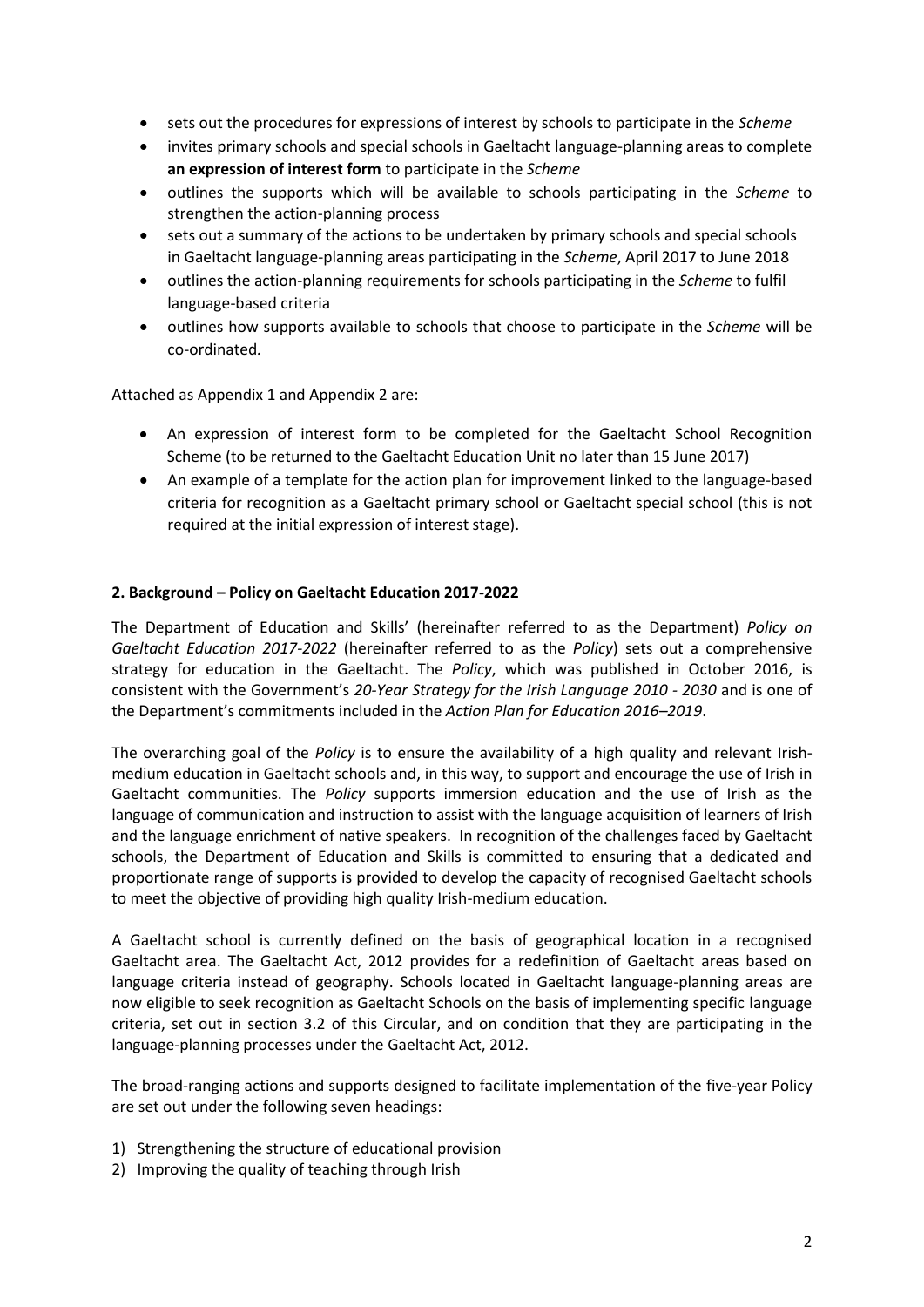- sets out the procedures for expressions of interest by schools to participate in the *Scheme*
- invites primary schools and special schools in Gaeltacht language-planning areas to complete **an expression of interest form** to participate in the *Scheme*
- outlines the supports which will be available to schools participating in the *Scheme* to strengthen the action-planning process
- sets out a summary of the actions to be undertaken by primary schools and special schools in Gaeltacht language-planning areas participating in the *Scheme*, April 2017 to June 2018
- outlines the action-planning requirements for schools participating in the *Scheme* to fulfil language-based criteria
- outlines how supports available to schools that choose to participate in the *Scheme* will be co-ordinated*.*

Attached as Appendix 1 and Appendix 2 are:

- An expression of interest form to be completed for the Gaeltacht School Recognition Scheme (to be returned to the Gaeltacht Education Unit no later than 15 June 2017)
- An example of a template for the action plan for improvement linked to the language-based criteria for recognition as a Gaeltacht primary school or Gaeltacht special school (this is not required at the initial expression of interest stage).

#### **2. Background – Policy on Gaeltacht Education 2017-2022**

The Department of Education and Skills' (hereinafter referred to as the Department) *Policy on Gaeltacht Education 2017-2022* (hereinafter referred to as the *Policy*) sets out a comprehensive strategy for education in the Gaeltacht. The *Policy*, which was published in October 2016, is consistent with the Government's *20-Year Strategy for the Irish Language 2010 - 2030* and is one of the Department's commitments included in the *Action Plan for Education 2016–2019*.

The overarching goal of the *Policy* is to ensure the availability of a high quality and relevant Irishmedium education in Gaeltacht schools and, in this way, to support and encourage the use of Irish in Gaeltacht communities. The *Policy* supports immersion education and the use of Irish as the language of communication and instruction to assist with the language acquisition of learners of Irish and the language enrichment of native speakers. In recognition of the challenges faced by Gaeltacht schools, the Department of Education and Skills is committed to ensuring that a dedicated and proportionate range of supports is provided to develop the capacity of recognised Gaeltacht schools to meet the objective of providing high quality Irish-medium education.

A Gaeltacht school is currently defined on the basis of geographical location in a recognised Gaeltacht area. The Gaeltacht Act, 2012 provides for a redefinition of Gaeltacht areas based on language criteria instead of geography. Schools located in Gaeltacht language-planning areas are now eligible to seek recognition as Gaeltacht Schools on the basis of implementing specific language criteria, set out in section 3.2 of this Circular, and on condition that they are participating in the language-planning processes under the Gaeltacht Act, 2012.

The broad-ranging actions and supports designed to facilitate implementation of the five-year Policy are set out under the following seven headings:

- 1) Strengthening the structure of educational provision
- 2) Improving the quality of teaching through Irish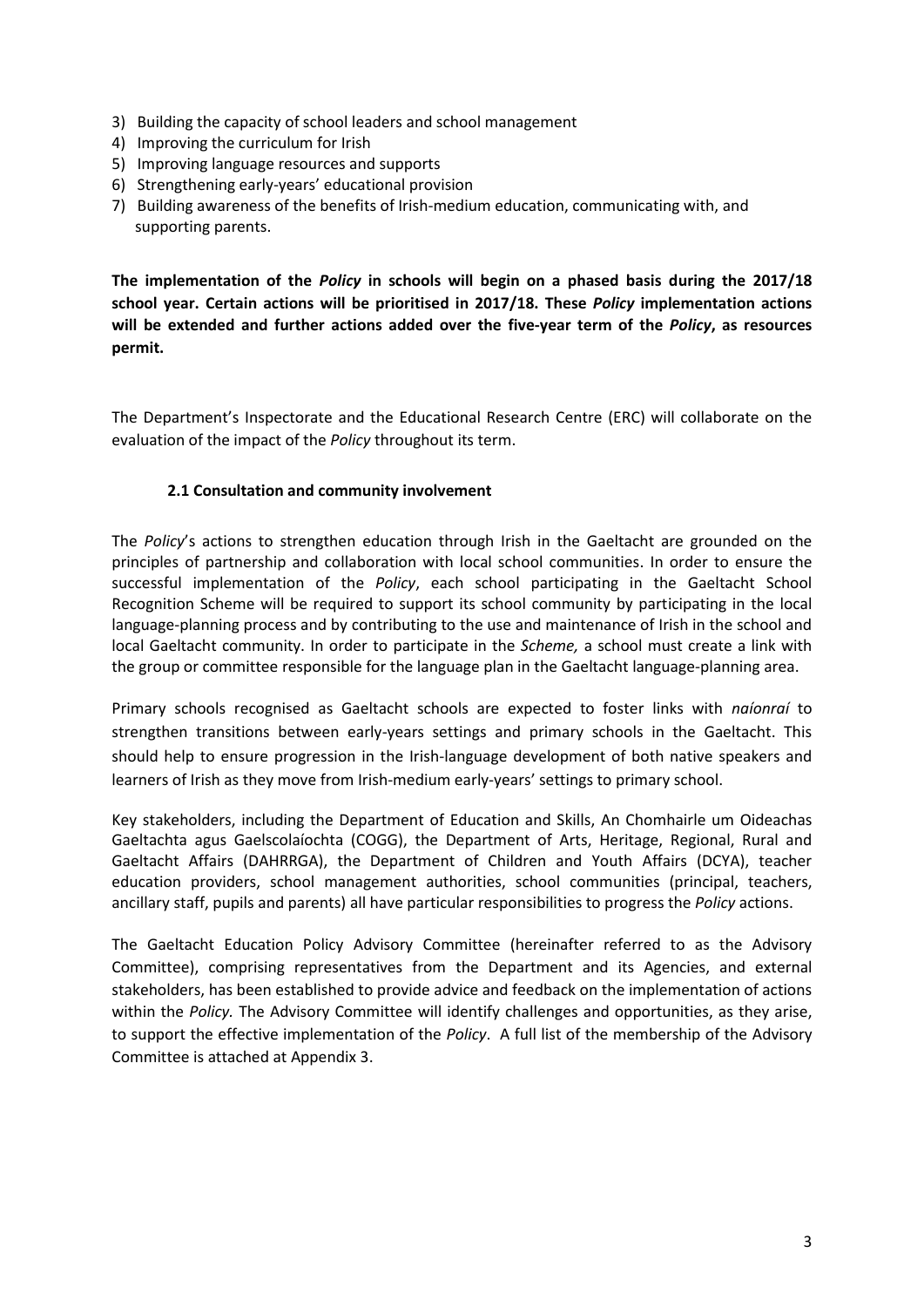- 3) Building the capacity of school leaders and school management
- 4) Improving the curriculum for Irish
- 5) Improving language resources and supports
- 6) Strengthening early-years' educational provision
- 7) Building awareness of the benefits of Irish-medium education, communicating with, and supporting parents.

**The implementation of the** *Policy* **in schools will begin on a phased basis during the 2017/18 school year. Certain actions will be prioritised in 2017/18. These** *Policy* **implementation actions will be extended and further actions added over the five-year term of the** *Policy***, as resources permit.**

The Department's Inspectorate and the Educational Research Centre (ERC) will collaborate on the evaluation of the impact of the *Policy* throughout its term.

#### **2.1 Consultation and community involvement**

The *Policy*'s actions to strengthen education through Irish in the Gaeltacht are grounded on the principles of partnership and collaboration with local school communities. In order to ensure the successful implementation of the *Policy*, each school participating in the Gaeltacht School Recognition Scheme will be required to support its school community by participating in the local language-planning process and by contributing to the use and maintenance of Irish in the school and local Gaeltacht community. In order to participate in the *Scheme,* a school must create a link with the group or committee responsible for the language plan in the Gaeltacht language-planning area.

Primary schools recognised as Gaeltacht schools are expected to foster links with *naíonraí* to strengthen transitions between early-years settings and primary schools in the Gaeltacht. This should help to ensure progression in the Irish-language development of both native speakers and learners of Irish as they move from Irish-medium early-years' settings to primary school.

Key stakeholders, including the Department of Education and Skills, An Chomhairle um Oideachas Gaeltachta agus Gaelscolaíochta (COGG), the Department of Arts, Heritage, Regional, Rural and Gaeltacht Affairs (DAHRRGA), the Department of Children and Youth Affairs (DCYA), teacher education providers, school management authorities, school communities (principal, teachers, ancillary staff, pupils and parents) all have particular responsibilities to progress the *Policy* actions.

The Gaeltacht Education Policy Advisory Committee (hereinafter referred to as the Advisory Committee), comprising representatives from the Department and its Agencies, and external stakeholders, has been established to provide advice and feedback on the implementation of actions within the *Policy.* The Advisory Committee will identify challenges and opportunities, as they arise, to support the effective implementation of the *Policy*. A full list of the membership of the Advisory Committee is attached at Appendix 3.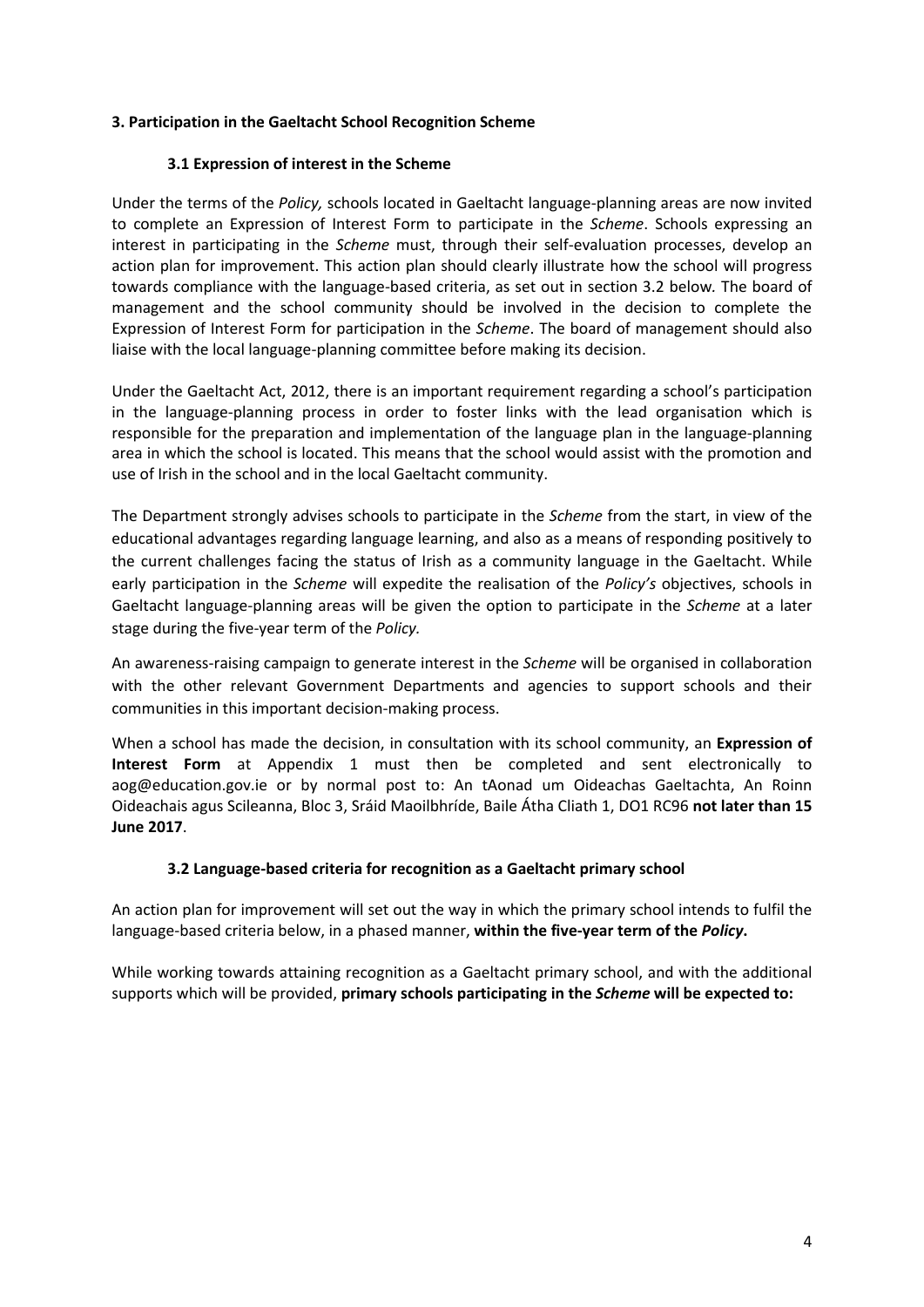#### **3. Participation in the Gaeltacht School Recognition Scheme**

#### **3.1 Expression of interest in the Scheme**

Under the terms of the *Policy,* schools located in Gaeltacht language-planning areas are now invited to complete an Expression of Interest Form to participate in the *Scheme*. Schools expressing an interest in participating in the *Scheme* must, through their self-evaluation processes, develop an action plan for improvement. This action plan should clearly illustrate how the school will progress towards compliance with the language-based criteria, as set out in section 3.2 below*.* The board of management and the school community should be involved in the decision to complete the Expression of Interest Form for participation in the *Scheme*. The board of management should also liaise with the local language-planning committee before making its decision.

Under the Gaeltacht Act, 2012, there is an important requirement regarding a school's participation in the language-planning process in order to foster links with the lead organisation which is responsible for the preparation and implementation of the language plan in the language-planning area in which the school is located. This means that the school would assist with the promotion and use of Irish in the school and in the local Gaeltacht community.

The Department strongly advises schools to participate in the *Scheme* from the start, in view of the educational advantages regarding language learning, and also as a means of responding positively to the current challenges facing the status of Irish as a community language in the Gaeltacht. While early participation in the *Scheme* will expedite the realisation of the *Policy's* objectives, schools in Gaeltacht language-planning areas will be given the option to participate in the *Scheme* at a later stage during the five-year term of the *Policy.*

An awareness-raising campaign to generate interest in the *Scheme* will be organised in collaboration with the other relevant Government Departments and agencies to support schools and their communities in this important decision-making process.

When a school has made the decision, in consultation with its school community, an **Expression of Interest Form** at Appendix 1 must then be completed and sent electronically to [aog@education.gov.ie](mailto:aog@education.gov.ie) or by normal post to: An tAonad um Oideachas Gaeltachta, An Roinn Oideachais agus Scileanna, Bloc 3, Sráid Maoilbhríde, Baile Átha Cliath 1, DO1 RC96 **not later than 15 June 2017**.

### **3.2 Language-based criteria for recognition as a Gaeltacht primary school**

An action plan for improvement will set out the way in which the primary school intends to fulfil the language-based criteria below, in a phased manner, **within the five-year term of the** *Policy***.**

While working towards attaining recognition as a Gaeltacht primary school, and with the additional supports which will be provided, **primary schools participating in the** *Scheme* **will be expected to:**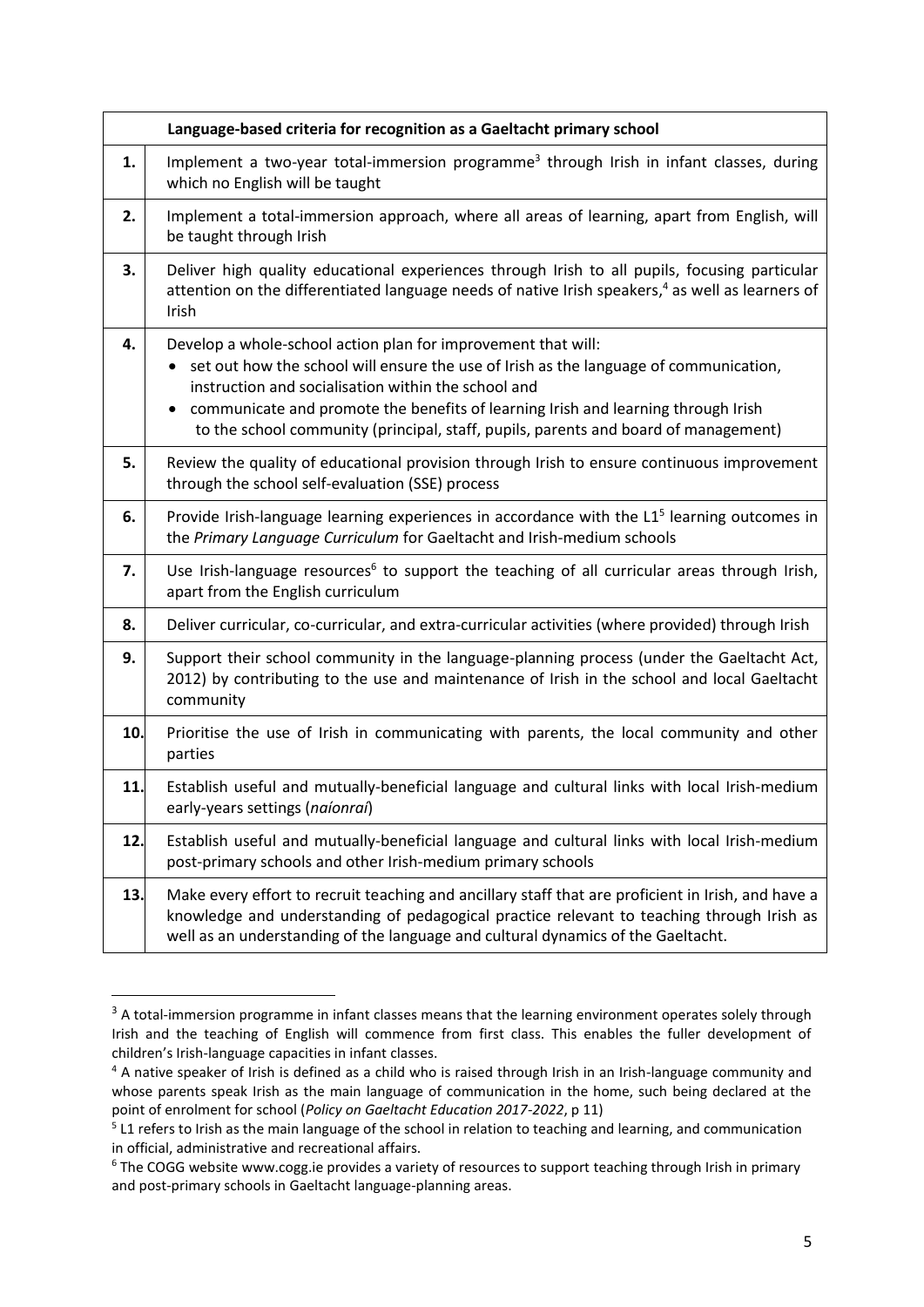|     | Language-based criteria for recognition as a Gaeltacht primary school                                                                                                                                                                                                                                                                                                                     |
|-----|-------------------------------------------------------------------------------------------------------------------------------------------------------------------------------------------------------------------------------------------------------------------------------------------------------------------------------------------------------------------------------------------|
| 1.  | Implement a two-year total-immersion programme <sup>3</sup> through Irish in infant classes, during<br>which no English will be taught                                                                                                                                                                                                                                                    |
| 2.  | Implement a total-immersion approach, where all areas of learning, apart from English, will<br>be taught through Irish                                                                                                                                                                                                                                                                    |
| 3.  | Deliver high quality educational experiences through Irish to all pupils, focusing particular<br>attention on the differentiated language needs of native Irish speakers, <sup>4</sup> as well as learners of<br>Irish                                                                                                                                                                    |
| 4.  | Develop a whole-school action plan for improvement that will:<br>set out how the school will ensure the use of Irish as the language of communication,<br>instruction and socialisation within the school and<br>communicate and promote the benefits of learning Irish and learning through Irish<br>to the school community (principal, staff, pupils, parents and board of management) |
| 5.  | Review the quality of educational provision through Irish to ensure continuous improvement<br>through the school self-evaluation (SSE) process                                                                                                                                                                                                                                            |
| 6.  | Provide Irish-language learning experiences in accordance with the L1 <sup>5</sup> learning outcomes in<br>the Primary Language Curriculum for Gaeltacht and Irish-medium schools                                                                                                                                                                                                         |
| 7.  | Use Irish-language resources <sup>6</sup> to support the teaching of all curricular areas through Irish,<br>apart from the English curriculum                                                                                                                                                                                                                                             |
| 8.  | Deliver curricular, co-curricular, and extra-curricular activities (where provided) through Irish                                                                                                                                                                                                                                                                                         |
| 9.  | Support their school community in the language-planning process (under the Gaeltacht Act,<br>2012) by contributing to the use and maintenance of Irish in the school and local Gaeltacht<br>community                                                                                                                                                                                     |
| 10. | Prioritise the use of Irish in communicating with parents, the local community and other<br>parties                                                                                                                                                                                                                                                                                       |
| 11. | Establish useful and mutually-beneficial language and cultural links with local Irish-medium<br>early-years settings (naíonraí)                                                                                                                                                                                                                                                           |
| 12. | Establish useful and mutually-beneficial language and cultural links with local Irish-medium<br>post-primary schools and other Irish-medium primary schools                                                                                                                                                                                                                               |
| 13. | Make every effort to recruit teaching and ancillary staff that are proficient in Irish, and have a<br>knowledge and understanding of pedagogical practice relevant to teaching through Irish as<br>well as an understanding of the language and cultural dynamics of the Gaeltacht.                                                                                                       |

 $\overline{a}$ 

<sup>&</sup>lt;sup>3</sup> A total-immersion programme in infant classes means that the learning environment operates solely through Irish and the teaching of English will commence from first class. This enables the fuller development of children's Irish-language capacities in infant classes.

<sup>&</sup>lt;sup>4</sup> A native speaker of Irish is defined as a child who is raised through Irish in an Irish-language community and whose parents speak Irish as the main language of communication in the home, such being declared at the point of enrolment for school (*Policy on Gaeltacht Education 2017-2022*, p 11)

<sup>&</sup>lt;sup>5</sup> L1 refers to Irish as the main language of the school in relation to teaching and learning, and communication in official, administrative and recreational affairs.

<sup>&</sup>lt;sup>6</sup> The COGG website www.cogg.ie provides a variety of resources to support teaching through Irish in primary and post-primary schools in Gaeltacht language-planning areas.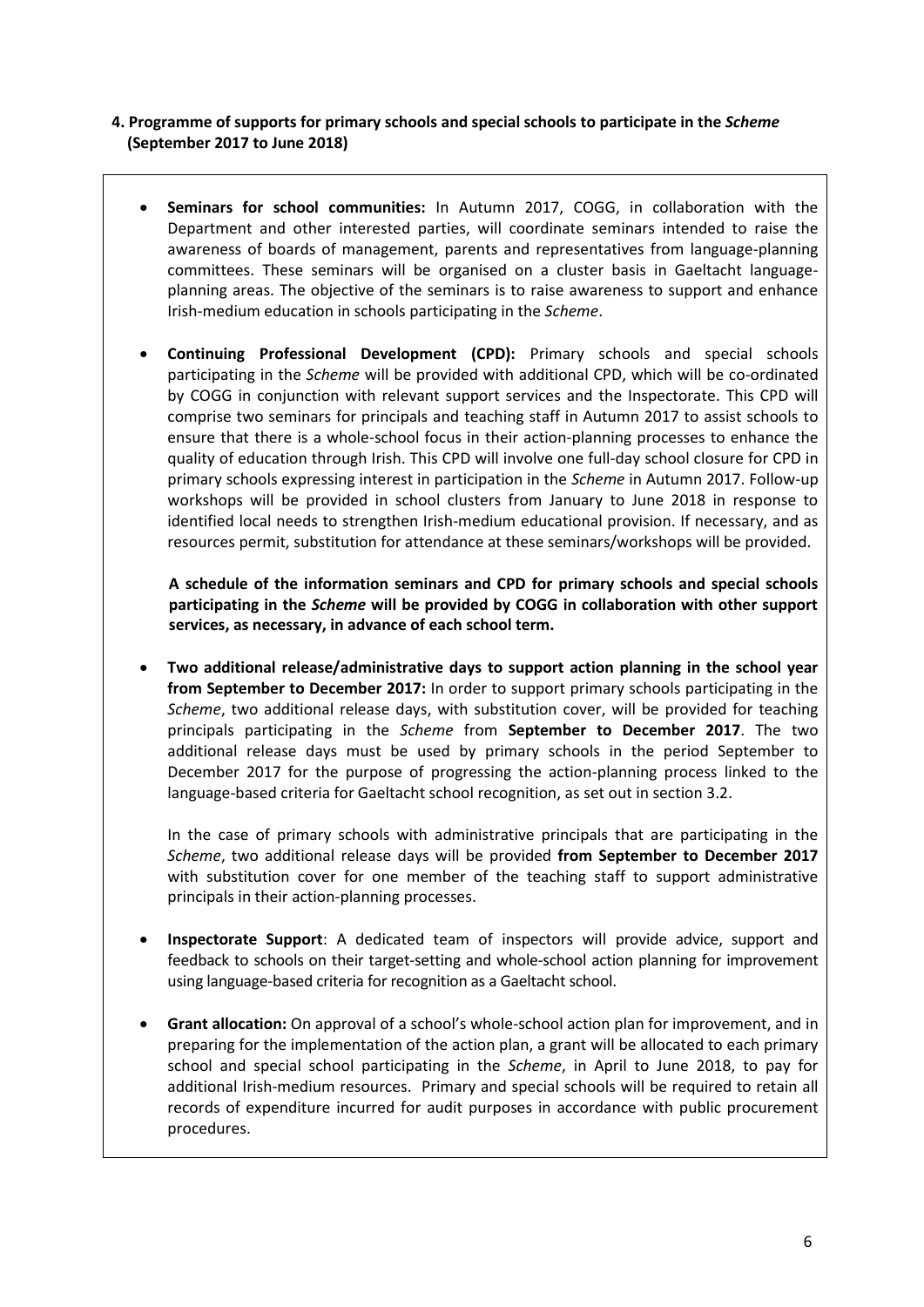### **4. Programme of supports for primary schools and special schools to participate in the** *Scheme*  **(September 2017 to June 2018)**

- **Seminars for school communities:** In Autumn 2017, COGG, in collaboration with the Department and other interested parties, will coordinate seminars intended to raise the awareness of boards of management, parents and representatives from language-planning committees. These seminars will be organised on a cluster basis in Gaeltacht languageplanning areas. The objective of the seminars is to raise awareness to support and enhance Irish-medium education in schools participating in the *Scheme*.
- **Continuing Professional Development (CPD):** Primary schools and special schools participating in the *Scheme* will be provided with additional CPD, which will be co-ordinated by COGG in conjunction with relevant support services and the Inspectorate. This CPD will comprise two seminars for principals and teaching staff in Autumn 2017 to assist schools to ensure that there is a whole-school focus in their action-planning processes to enhance the quality of education through Irish. This CPD will involve one full-day school closure for CPD in primary schools expressing interest in participation in the *Scheme* in Autumn 2017. Follow-up workshops will be provided in school clusters from January to June 2018 in response to identified local needs to strengthen Irish-medium educational provision. If necessary, and as resources permit, substitution for attendance at these seminars/workshops will be provided.

**A schedule of the information seminars and CPD for primary schools and special schools participating in the** *Scheme* **will be provided by COGG in collaboration with other support services, as necessary, in advance of each school term.** 

 **Two additional release/administrative days to support action planning in the school year from September to December 2017:** In order to support primary schools participating in the *Scheme*, two additional release days, with substitution cover, will be provided for teaching principals participating in the *Scheme* from **September to December 2017**. The two additional release days must be used by primary schools in the period September to December 2017 for the purpose of progressing the action-planning process linked to the language-based criteria for Gaeltacht school recognition, as set out in section 3.2.

In the case of primary schools with administrative principals that are participating in the *Scheme*, two additional release days will be provided **from September to December 2017** with substitution cover for one member of the teaching staff to support administrative principals in their action-planning processes.

- **Inspectorate Support**: A dedicated team of inspectors will provide advice, support and feedback to schools on their target-setting and whole-school action planning for improvement using language-based criteria for recognition as a Gaeltacht school.
- **Grant allocation:** On approval of a school's whole-school action plan for improvement, and in preparing for the implementation of the action plan, a grant will be allocated to each primary school and special school participating in the *Scheme*, in April to June 2018, to pay for additional Irish-medium resources. Primary and special schools will be required to retain all records of expenditure incurred for audit purposes in accordance with public procurement procedures.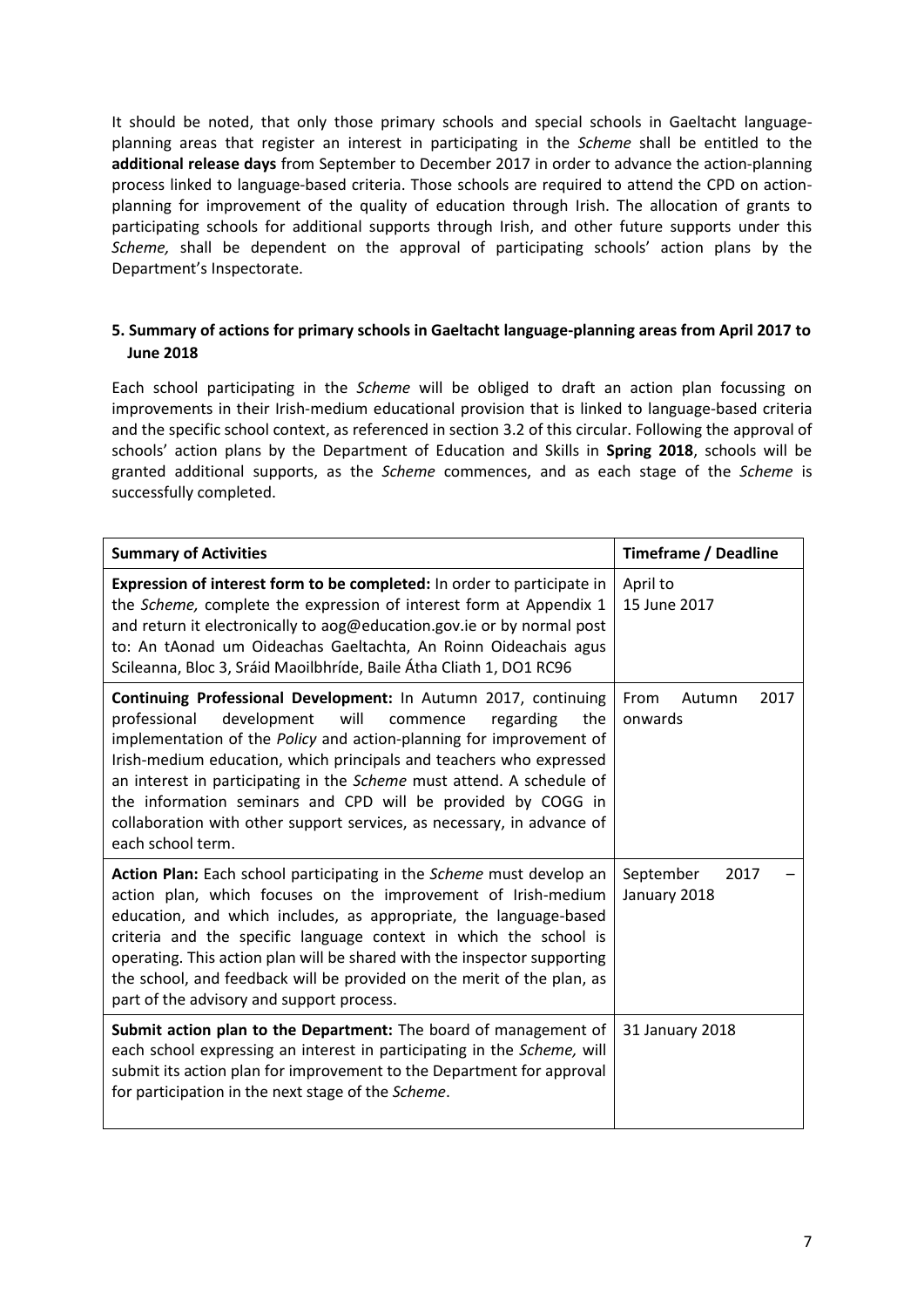It should be noted, that only those primary schools and special schools in Gaeltacht languageplanning areas that register an interest in participating in the *Scheme* shall be entitled to the **additional release days** from September to December 2017 in order to advance the action-planning process linked to language-based criteria. Those schools are required to attend the CPD on actionplanning for improvement of the quality of education through Irish. The allocation of grants to participating schools for additional supports through Irish, and other future supports under this *Scheme,* shall be dependent on the approval of participating schools' action plans by the Department's Inspectorate.

### **5. Summary of actions for primary schools in Gaeltacht language-planning areas from April 2017 to June 2018**

Each school participating in the *Scheme* will be obliged to draft an action plan focussing on improvements in their Irish-medium educational provision that is linked to language-based criteria and the specific school context, as referenced in section 3.2 of this circular. Following the approval of schools' action plans by the Department of Education and Skills in **Spring 2018**, schools will be granted additional supports, as the *Scheme* commences, and as each stage of the *Scheme* is successfully completed.

| <b>Summary of Activities</b>                                                                                                                                                                                                                                                                                                                                                                                                                                                                                                 | <b>Timeframe / Deadline</b>       |  |  |
|------------------------------------------------------------------------------------------------------------------------------------------------------------------------------------------------------------------------------------------------------------------------------------------------------------------------------------------------------------------------------------------------------------------------------------------------------------------------------------------------------------------------------|-----------------------------------|--|--|
| Expression of interest form to be completed: In order to participate in<br>the Scheme, complete the expression of interest form at Appendix 1<br>and return it electronically to aog@education.gov.ie or by normal post<br>to: An tAonad um Oideachas Gaeltachta, An Roinn Oideachais agus<br>Scileanna, Bloc 3, Sráid Maoilbhríde, Baile Átha Cliath 1, DO1 RC96                                                                                                                                                            | April to<br>15 June 2017          |  |  |
| Continuing Professional Development: In Autumn 2017, continuing<br>development<br>professional<br>will<br>the<br>commence<br>regarding<br>implementation of the Policy and action-planning for improvement of<br>Irish-medium education, which principals and teachers who expressed<br>an interest in participating in the Scheme must attend. A schedule of<br>the information seminars and CPD will be provided by COGG in<br>collaboration with other support services, as necessary, in advance of<br>each school term. | 2017<br>From<br>Autumn<br>onwards |  |  |
| Action Plan: Each school participating in the Scheme must develop an<br>action plan, which focuses on the improvement of Irish-medium<br>education, and which includes, as appropriate, the language-based<br>criteria and the specific language context in which the school is<br>operating. This action plan will be shared with the inspector supporting<br>the school, and feedback will be provided on the merit of the plan, as<br>part of the advisory and support process.                                           | September<br>2017<br>January 2018 |  |  |
| Submit action plan to the Department: The board of management of<br>each school expressing an interest in participating in the Scheme, will<br>submit its action plan for improvement to the Department for approval<br>for participation in the next stage of the Scheme.                                                                                                                                                                                                                                                   | 31 January 2018                   |  |  |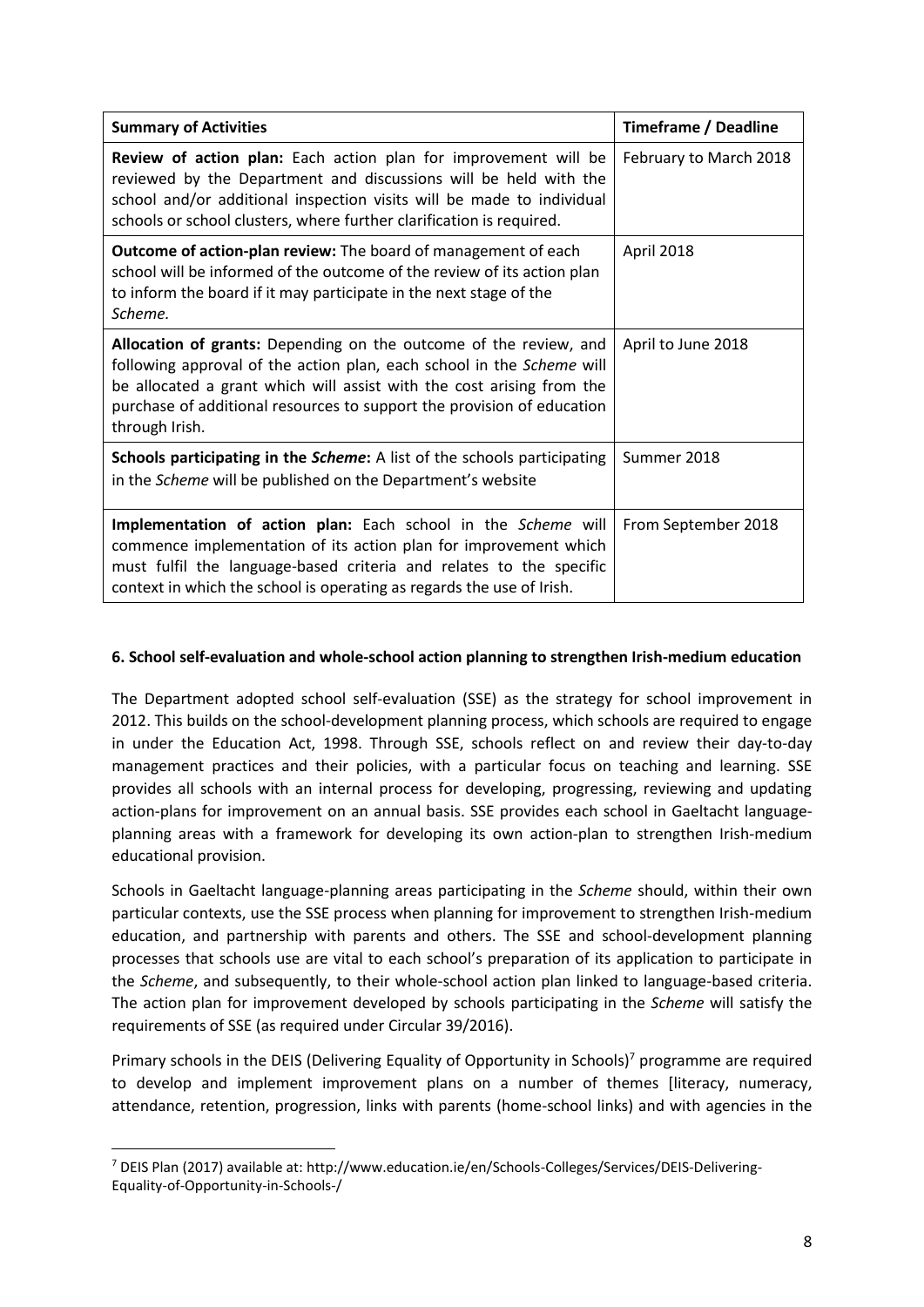| <b>Summary of Activities</b>                                                                                                                                                                                                                                                                                    | <b>Timeframe / Deadline</b> |  |  |
|-----------------------------------------------------------------------------------------------------------------------------------------------------------------------------------------------------------------------------------------------------------------------------------------------------------------|-----------------------------|--|--|
| <b>Review of action plan:</b> Each action plan for improvement will be<br>reviewed by the Department and discussions will be held with the<br>school and/or additional inspection visits will be made to individual<br>schools or school clusters, where further clarification is required.                     | February to March 2018      |  |  |
| <b>Outcome of action-plan review:</b> The board of management of each<br>school will be informed of the outcome of the review of its action plan<br>to inform the board if it may participate in the next stage of the<br>Scheme.                                                                               | April 2018                  |  |  |
| Allocation of grants: Depending on the outcome of the review, and<br>following approval of the action plan, each school in the Scheme will<br>be allocated a grant which will assist with the cost arising from the<br>purchase of additional resources to support the provision of education<br>through Irish. | April to June 2018          |  |  |
| <b>Schools participating in the Scheme:</b> A list of the schools participating<br>in the Scheme will be published on the Department's website                                                                                                                                                                  | Summer 2018                 |  |  |
| Implementation of action plan: Each school in the Scheme will<br>commence implementation of its action plan for improvement which<br>must fulfil the language-based criteria and relates to the specific<br>context in which the school is operating as regards the use of Irish.                               | From September 2018         |  |  |

### **6. School self-evaluation and whole-school action planning to strengthen Irish-medium education**

The Department adopted school self-evaluation (SSE) as the strategy for school improvement in 2012. This builds on the school-development planning process, which schools are required to engage in under the Education Act, 1998. Through SSE, schools reflect on and review their day-to-day management practices and their policies, with a particular focus on teaching and learning. SSE provides all schools with an internal process for developing, progressing, reviewing and updating action-plans for improvement on an annual basis. SSE provides each school in Gaeltacht languageplanning areas with a framework for developing its own action-plan to strengthen Irish-medium educational provision.

Schools in Gaeltacht language-planning areas participating in the *Scheme* should, within their own particular contexts, use the SSE process when planning for improvement to strengthen Irish-medium education, and partnership with parents and others. The SSE and school-development planning processes that schools use are vital to each school's preparation of its application to participate in the *Scheme*, and subsequently, to their whole-school action plan linked to language-based criteria. The action plan for improvement developed by schools participating in the *Scheme* will satisfy the requirements of SSE (as required under Circular 39/2016).

Primary schools in the DEIS (Delivering Equality of Opportunity in Schools)<sup>7</sup> programme are required to develop and implement improvement plans on a number of themes [literacy, numeracy, attendance, retention, progression, links with parents (home-school links) and with agencies in the

**.** 

<sup>7</sup> DEIS Plan (2017) available at: http://www.education.ie/en/Schools-Colleges/Services/DEIS-Delivering-Equality-of-Opportunity-in-Schools-/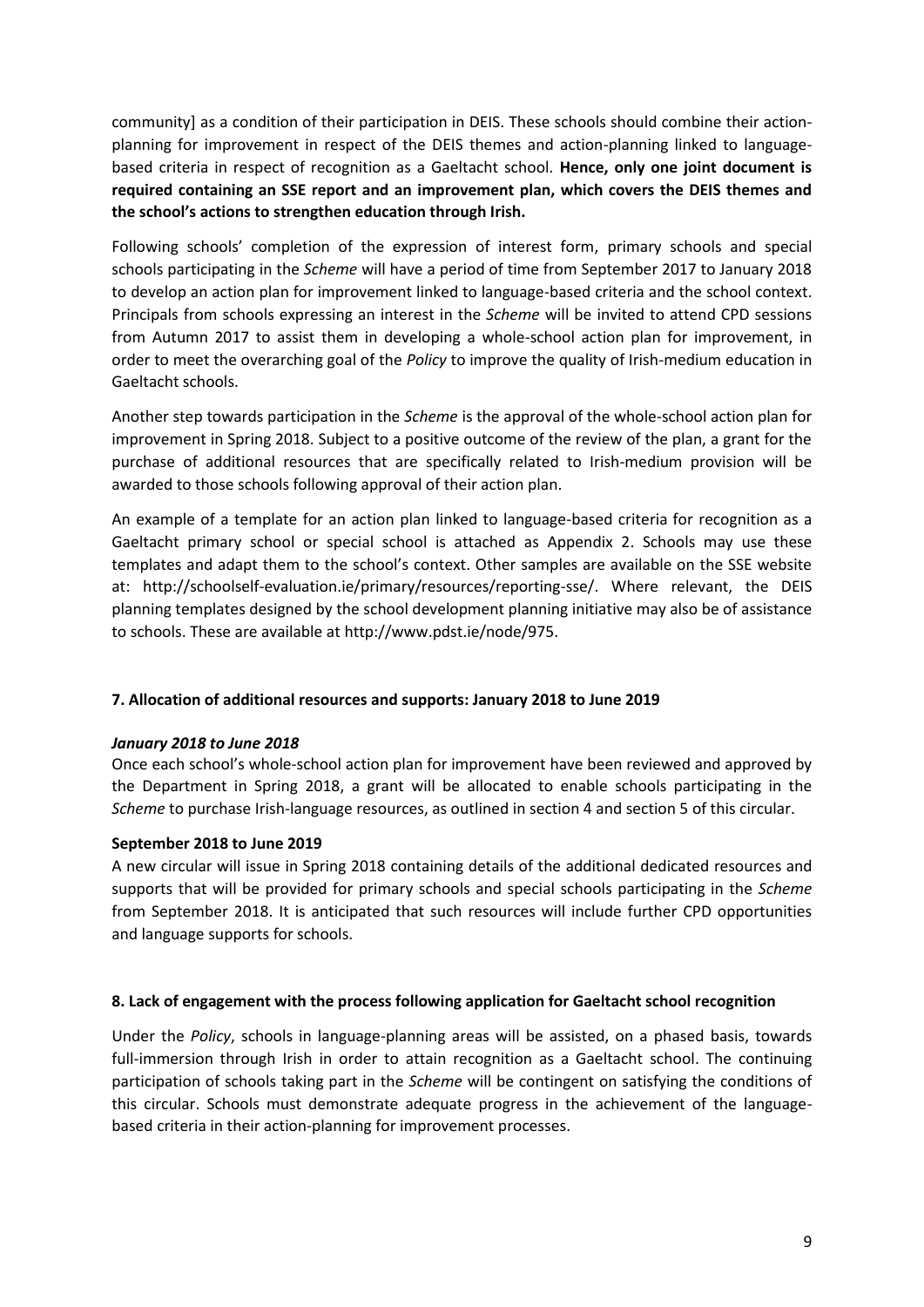community] as a condition of their participation in DEIS. These schools should combine their actionplanning for improvement in respect of the DEIS themes and action-planning linked to languagebased criteria in respect of recognition as a Gaeltacht school*.* **Hence, only one joint document is required containing an SSE report and an improvement plan, which covers the DEIS themes and the school's actions to strengthen education through Irish.**

Following schools' completion of the expression of interest form, primary schools and special schools participating in the *Scheme* will have a period of time from September 2017 to January 2018 to develop an action plan for improvement linked to language-based criteria and the school context. Principals from schools expressing an interest in the *Scheme* will be invited to attend CPD sessions from Autumn 2017 to assist them in developing a whole-school action plan for improvement, in order to meet the overarching goal of the *Policy* to improve the quality of Irish-medium education in Gaeltacht schools.

Another step towards participation in the *Scheme* is the approval of the whole-school action plan for improvement in Spring 2018. Subject to a positive outcome of the review of the plan, a grant for the purchase of additional resources that are specifically related to Irish-medium provision will be awarded to those schools following approval of their action plan.

An example of a template for an action plan linked to language-based criteria for recognition as a Gaeltacht primary school or special school is attached as Appendix 2. Schools may use these templates and adapt them to the school's context. Other samples are available on the SSE website at: [http://schoolself-evaluation.ie/primary/resources/reporting-sse/.](http://schoolself-evaluation.ie/primary/resources/reporting-sse/) Where relevant, the DEIS planning templates designed by the school development planning initiative may also be of assistance to schools. These are available at http://www.pdst.ie/node/975.

### **7. Allocation of additional resources and supports: January 2018 to June 2019**

#### *January 2018 to June 2018*

Once each school's whole-school action plan for improvement have been reviewed and approved by the Department in Spring 2018, a grant will be allocated to enable schools participating in the *Scheme* to purchase Irish-language resources, as outlined in section 4 and section 5 of this circular.

#### **September 2018 to June 2019**

A new circular will issue in Spring 2018 containing details of the additional dedicated resources and supports that will be provided for primary schools and special schools participating in the *Scheme* from September 2018. It is anticipated that such resources will include further CPD opportunities and language supports for schools.

#### **8. Lack of engagement with the process following application for Gaeltacht school recognition**

Under the *Policy*, schools in language-planning areas will be assisted, on a phased basis, towards full-immersion through Irish in order to attain recognition as a Gaeltacht school. The continuing participation of schools taking part in the *Scheme* will be contingent on satisfying the conditions of this circular. Schools must demonstrate adequate progress in the achievement of the languagebased criteria in their action-planning for improvement processes.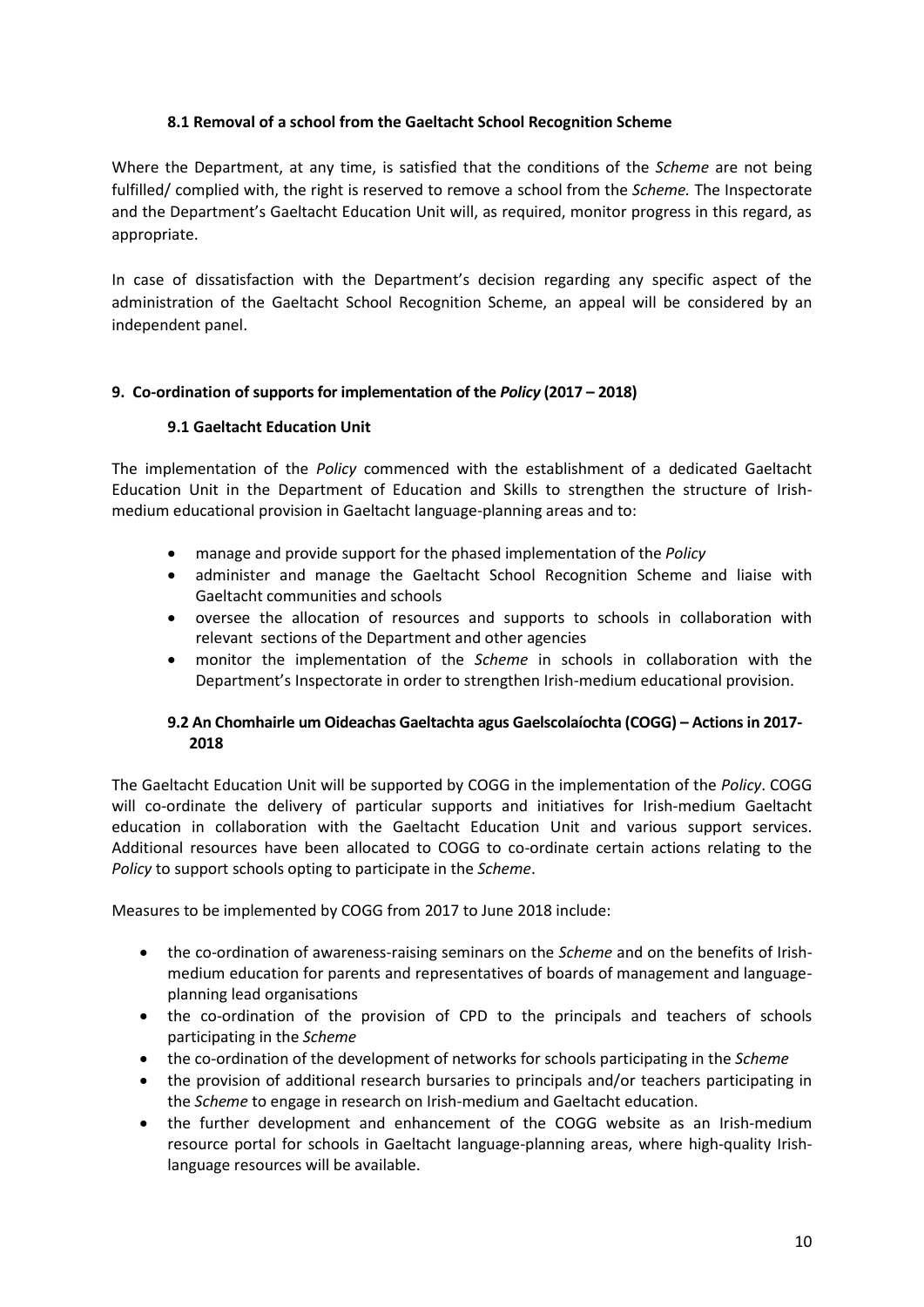### **8.1 Removal of a school from the Gaeltacht School Recognition Scheme**

Where the Department, at any time, is satisfied that the conditions of the *Scheme* are not being fulfilled/ complied with, the right is reserved to remove a school from the *Scheme.* The Inspectorate and the Department's Gaeltacht Education Unit will, as required, monitor progress in this regard, as appropriate.

In case of dissatisfaction with the Department's decision regarding any specific aspect of the administration of the Gaeltacht School Recognition Scheme, an appeal will be considered by an independent panel.

#### **9. Co-ordination of supports for implementation of the** *Policy* **(2017 – 2018)**

#### **9.1 Gaeltacht Education Unit**

The implementation of the *Policy* commenced with the establishment of a dedicated Gaeltacht Education Unit in the Department of Education and Skills to strengthen the structure of Irishmedium educational provision in Gaeltacht language-planning areas and to:

- manage and provide support for the phased implementation of the *Policy*
- administer and manage the Gaeltacht School Recognition Scheme and liaise with Gaeltacht communities and schools
- oversee the allocation of resources and supports to schools in collaboration with relevant sections of the Department and other agencies
- monitor the implementation of the *Scheme* in schools in collaboration with the Department's Inspectorate in order to strengthen Irish-medium educational provision.

### **9.2 An Chomhairle um Oideachas Gaeltachta agus Gaelscolaíochta (COGG) – Actions in 2017- 2018**

The Gaeltacht Education Unit will be supported by COGG in the implementation of the *Policy*. COGG will co-ordinate the delivery of particular supports and initiatives for Irish-medium Gaeltacht education in collaboration with the Gaeltacht Education Unit and various support services. Additional resources have been allocated to COGG to co-ordinate certain actions relating to the *Policy* to support schools opting to participate in the *Scheme*.

Measures to be implemented by COGG from 2017 to June 2018 include:

- the co-ordination of awareness-raising seminars on the *Scheme* and on the benefits of Irishmedium education for parents and representatives of boards of management and languageplanning lead organisations
- the co-ordination of the provision of CPD to the principals and teachers of schools participating in the *Scheme*
- the co-ordination of the development of networks for schools participating in the *Scheme*
- the provision of additional research bursaries to principals and/or teachers participating in the *Scheme* to engage in research on Irish-medium and Gaeltacht education.
- the further development and enhancement of the COGG website as an Irish-medium resource portal for schools in Gaeltacht language-planning areas, where high-quality Irishlanguage resources will be available.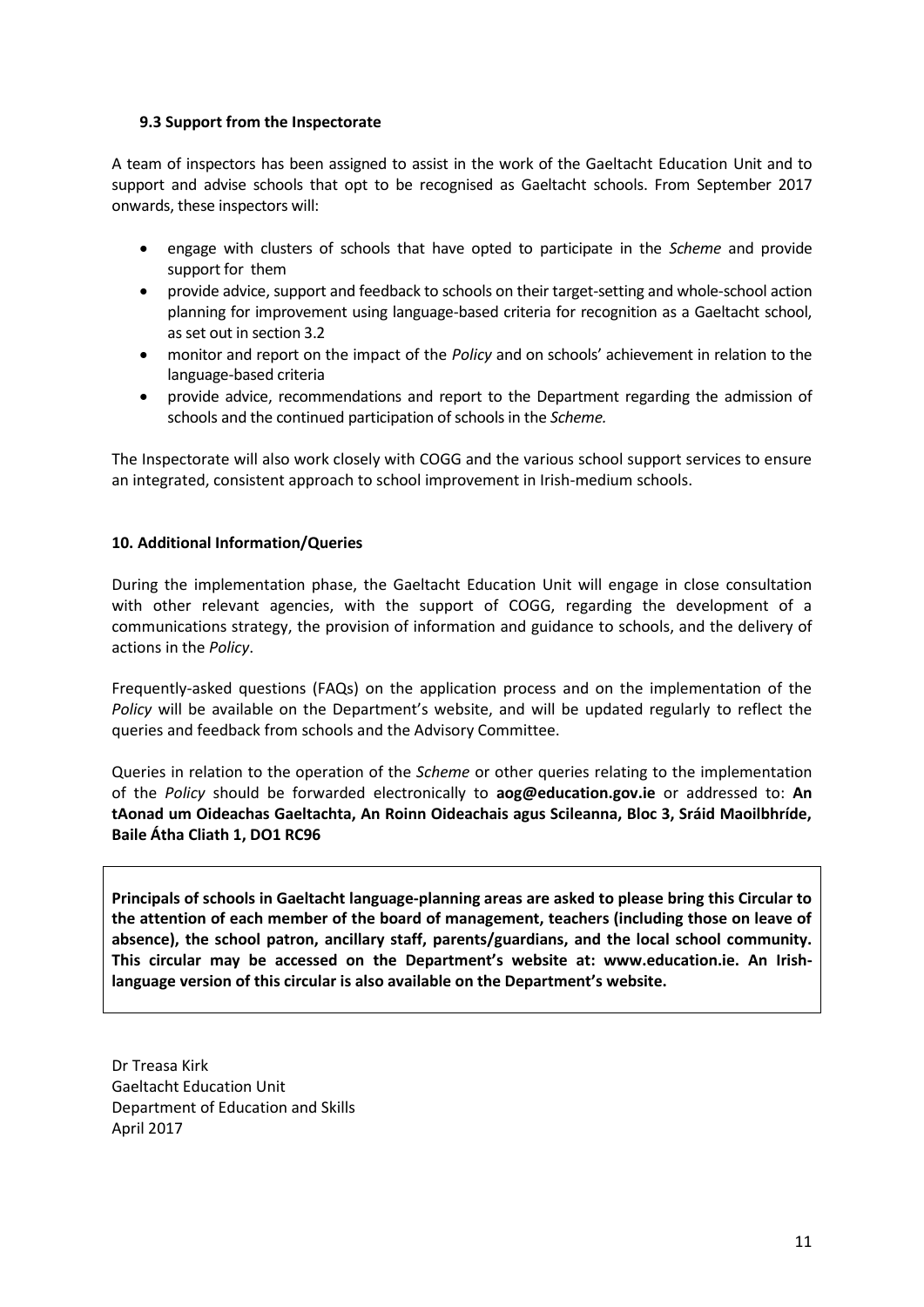#### **9.3 Support from the Inspectorate**

A team of inspectors has been assigned to assist in the work of the Gaeltacht Education Unit and to support and advise schools that opt to be recognised as Gaeltacht schools. From September 2017 onwards, these inspectors will:

- engage with clusters of schools that have opted to participate in the *Scheme* and provide support for them
- provide advice, support and feedback to schools on their target-setting and whole-school action planning for improvement using language-based criteria for recognition as a Gaeltacht school, as set out in section 3.2
- monitor and report on the impact of the *Policy* and on schools' achievement in relation to the language-based criteria
- provide advice, recommendations and report to the Department regarding the admission of schools and the continued participation of schools in the *Scheme.*

The Inspectorate will also work closely with COGG and the various school support services to ensure an integrated, consistent approach to school improvement in Irish-medium schools.

#### **10. Additional Information/Queries**

During the implementation phase, the Gaeltacht Education Unit will engage in close consultation with other relevant agencies, with the support of COGG, regarding the development of a communications strategy, the provision of information and guidance to schools, and the delivery of actions in the *Policy*.

Frequently-asked questions (FAQs) on the application process and on the implementation of the *Policy* will be available on the Department's website, and will be updated regularly to reflect the queries and feedback from schools and the Advisory Committee.

Queries in relation to the operation of the *Scheme* or other queries relating to the implementation of the *Policy* should be forwarded electronically to **[aog@education.gov.ie](mailto:aog@education.gov.ie)** or addressed to: **An tAonad um Oideachas Gaeltachta, An Roinn Oideachais agus Scileanna, Bloc 3, Sráid Maoilbhríde, Baile Átha Cliath 1, DO1 RC96**

**Principals of schools in Gaeltacht language-planning areas are asked to please bring this Circular to the attention of each member of the board of management, teachers (including those on leave of absence), the school patron, ancillary staff, parents/guardians, and the local school community. This circular may be accessed on the Department's website at: www.education.ie. An Irishlanguage version of this circular is also available on the Department's website.**

Dr Treasa Kirk Gaeltacht Education Unit Department of Education and Skills April 2017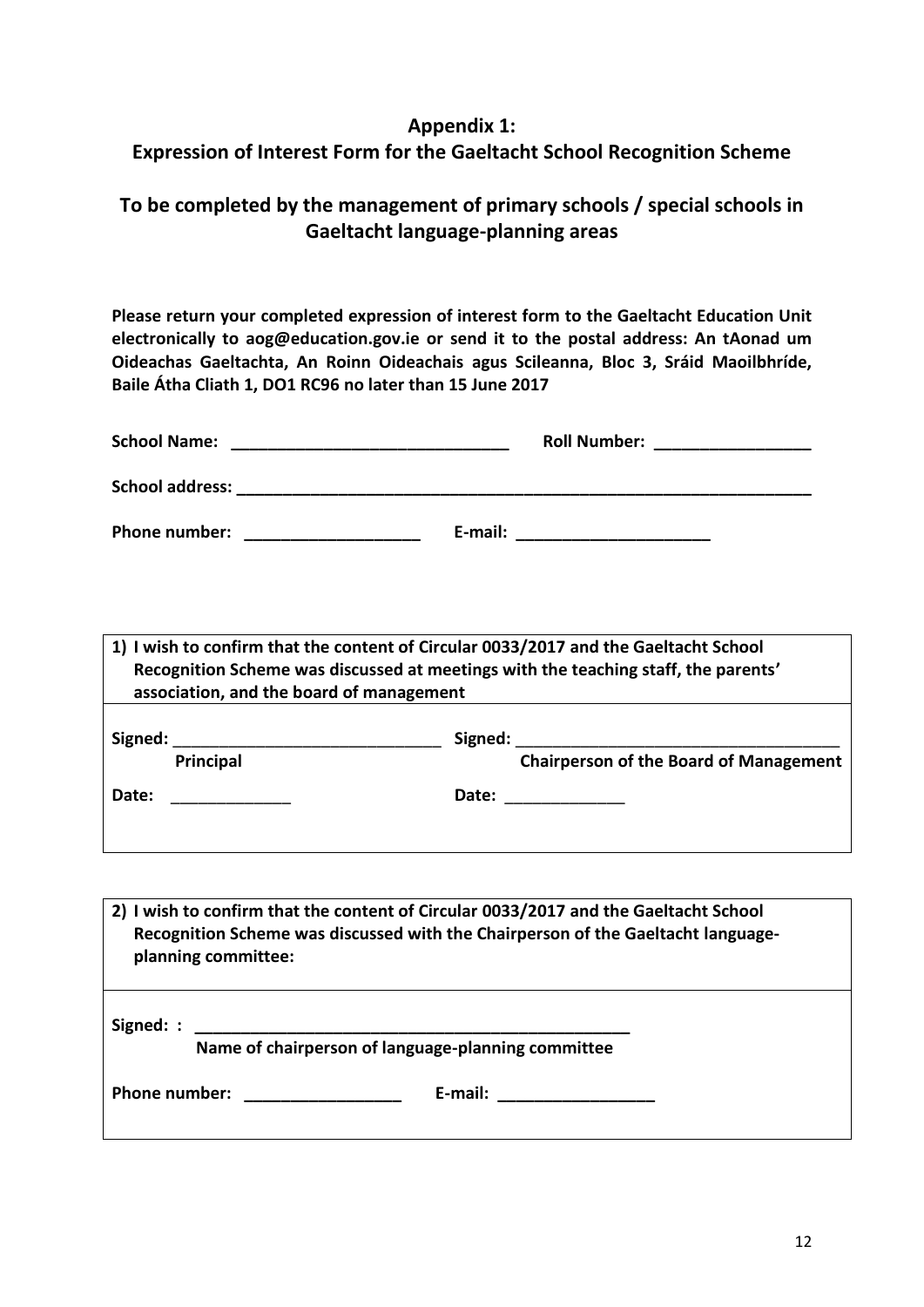# **Appendix 1:**

# **Expression of Interest Form for the Gaeltacht School Recognition Scheme**

# **To be completed by the management of primary schools / special schools in Gaeltacht language-planning areas**

**Please return your completed expression of interest form to the Gaeltacht Education Unit electronically to [aog@education.gov.ie](mailto:aog@education.gov.ie) or send it to the postal address: An tAonad um Oideachas Gaeltachta, An Roinn Oideachais agus Scileanna, Bloc 3, Sráid Maoilbhríde, Baile Átha Cliath 1, DO1 RC96 no later than 15 June 2017**

| <b>School Name:</b>    |         | <b>Roll Number:</b> |
|------------------------|---------|---------------------|
| <b>School address:</b> |         |                     |
| Phone number:          | E-mail: |                     |

**1) I wish to confirm that the content of Circular 0033/2017 and the Gaeltacht School Recognition Scheme was discussed at meetings with the teaching staff, the parents' association, and the board of management**

| Signed: |           | Signed: |                                               |  |  |
|---------|-----------|---------|-----------------------------------------------|--|--|
|         | Principal |         | <b>Chairperson of the Board of Management</b> |  |  |
| Date:   |           | Date:   |                                               |  |  |
|         |           |         |                                               |  |  |

**2) I wish to confirm that the content of Circular 0033/2017 and the Gaeltacht School Recognition Scheme was discussed with the Chairperson of the Gaeltacht languageplanning committee:**  Signed: :  **Name of chairperson of language-planning committee Phone number: \_\_\_\_\_\_\_\_\_\_\_\_\_\_\_\_\_ E-mail: \_\_\_\_\_\_\_\_\_\_\_\_\_\_\_\_\_**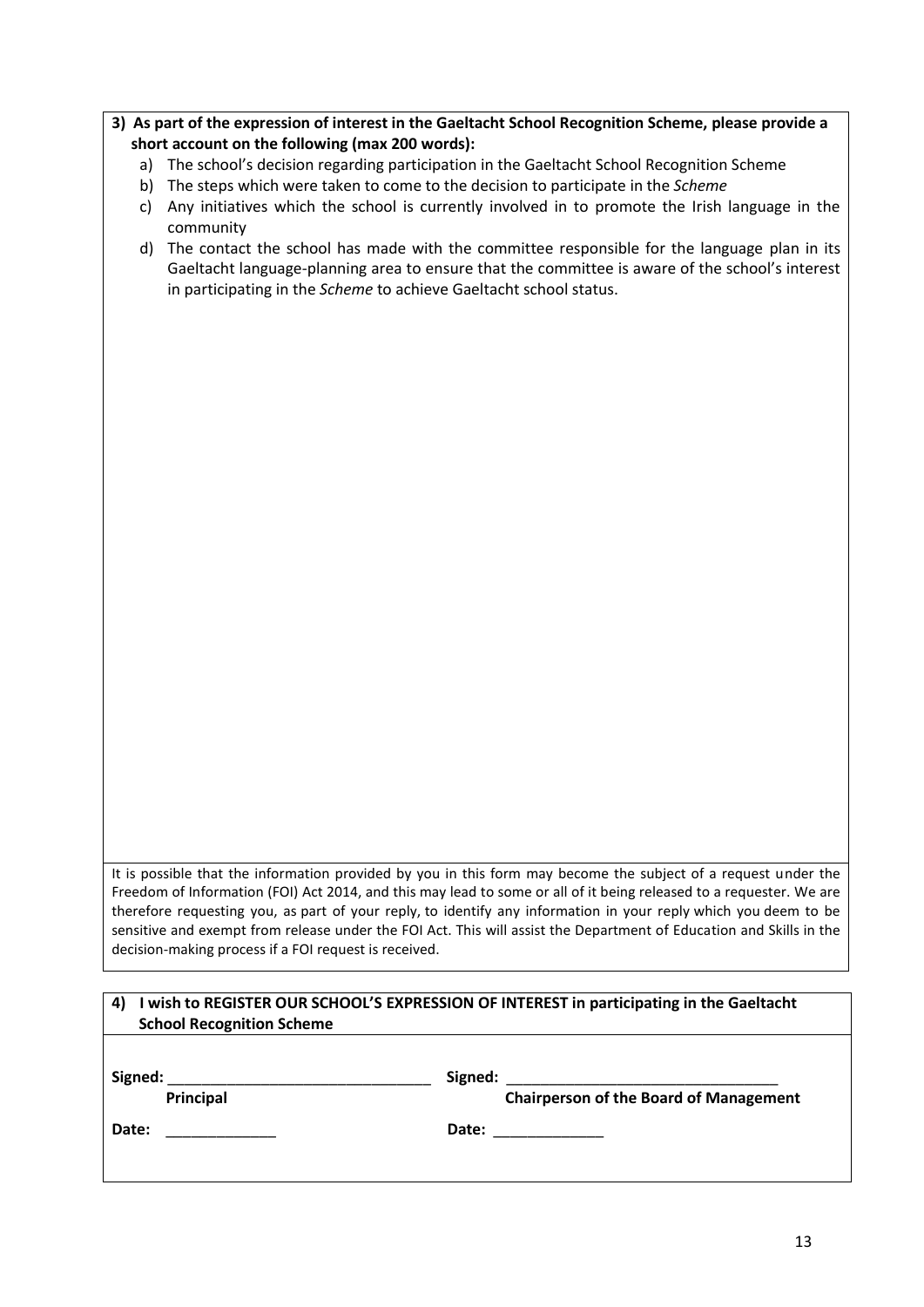- **3) As part of the expression of interest in the Gaeltacht School Recognition Scheme, please provide a short account on the following (max 200 words):**
	- a) The school's decision regarding participation in the Gaeltacht School Recognition Scheme
	- b) The steps which were taken to come to the decision to participate in the *Scheme*
	- c) Any initiatives which the school is currently involved in to promote the Irish language in the community
	- d) The contact the school has made with the committee responsible for the language plan in its Gaeltacht language-planning area to ensure that the committee is aware of the school's interest in participating in the *Scheme* to achieve Gaeltacht school status.

It is possible that the information provided by you in this form may become the subject of a request under the Freedom of Information (FOI) Act 2014, and this may lead to some or all of it being released to a requester. We are therefore requesting you, as part of your reply, to identify any information in your reply which you deem to be sensitive and exempt from release under the FOI Act. This will assist the Department of Education and Skills in the decision-making process if a FOI request is received.

## **4) I wish to REGISTER OUR SCHOOL'S EXPRESSION OF INTEREST in participating in the Gaeltacht School Recognition Scheme**

**Signed:** \_\_\_\_\_\_\_\_\_\_\_\_\_\_\_\_\_\_\_\_\_\_\_\_\_\_\_\_\_\_\_ **Signed:** \_\_\_\_\_\_\_\_\_\_\_\_\_\_\_\_\_\_\_\_\_\_\_\_\_\_\_\_\_\_\_\_  **Principal Chairperson of the Board of Management Date:** \_\_\_\_\_\_\_\_\_\_\_\_\_ **Date:** \_\_\_\_\_\_\_\_\_\_\_\_\_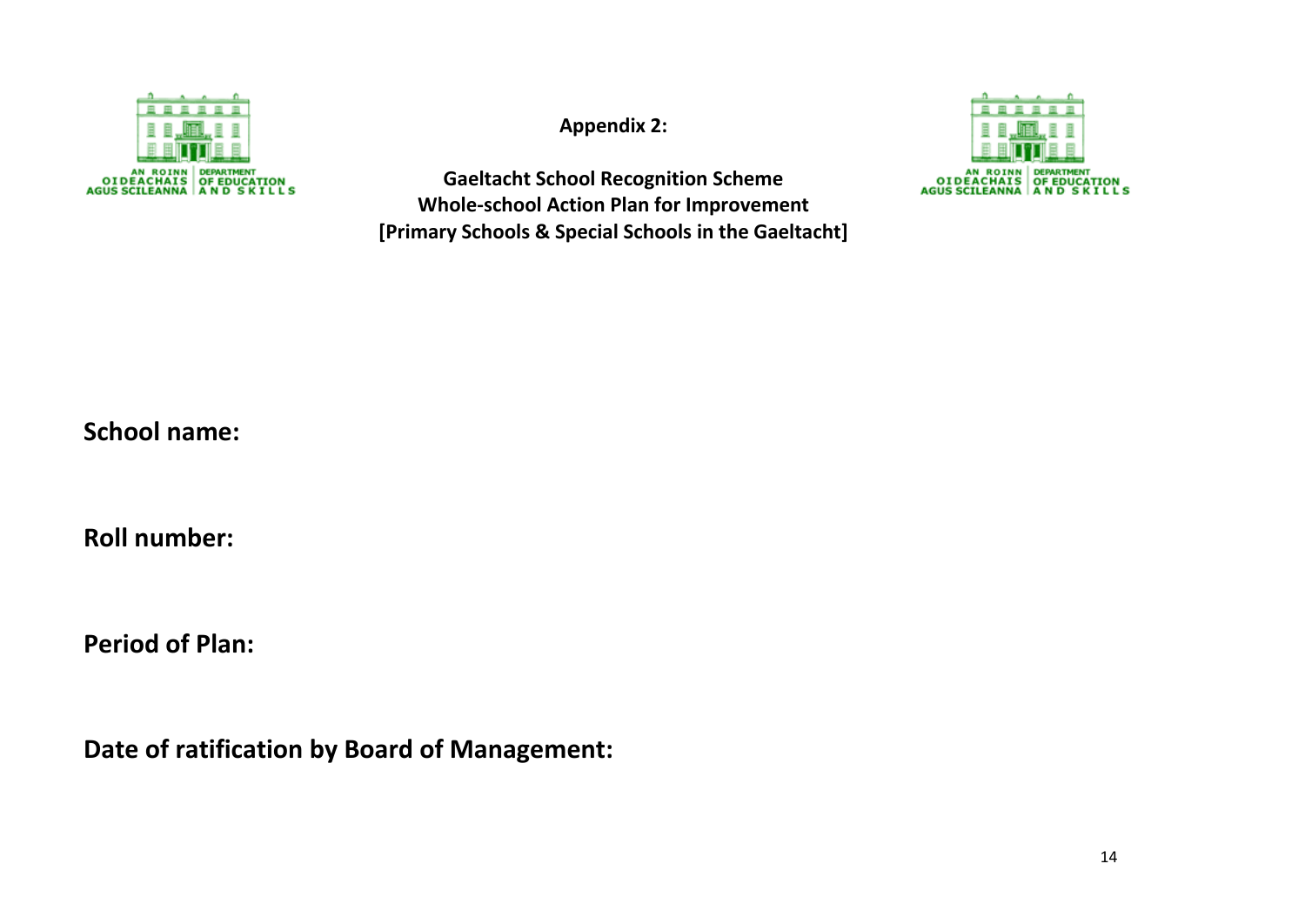

**Appendix 2:**

**Gaeltacht School Recognition Scheme Whole-school Action Plan for Improvement [Primary Schools & Special Schools in the Gaeltacht]**



**School name:**

**Roll number:**

**Period of Plan:**

**Date of ratification by Board of Management:**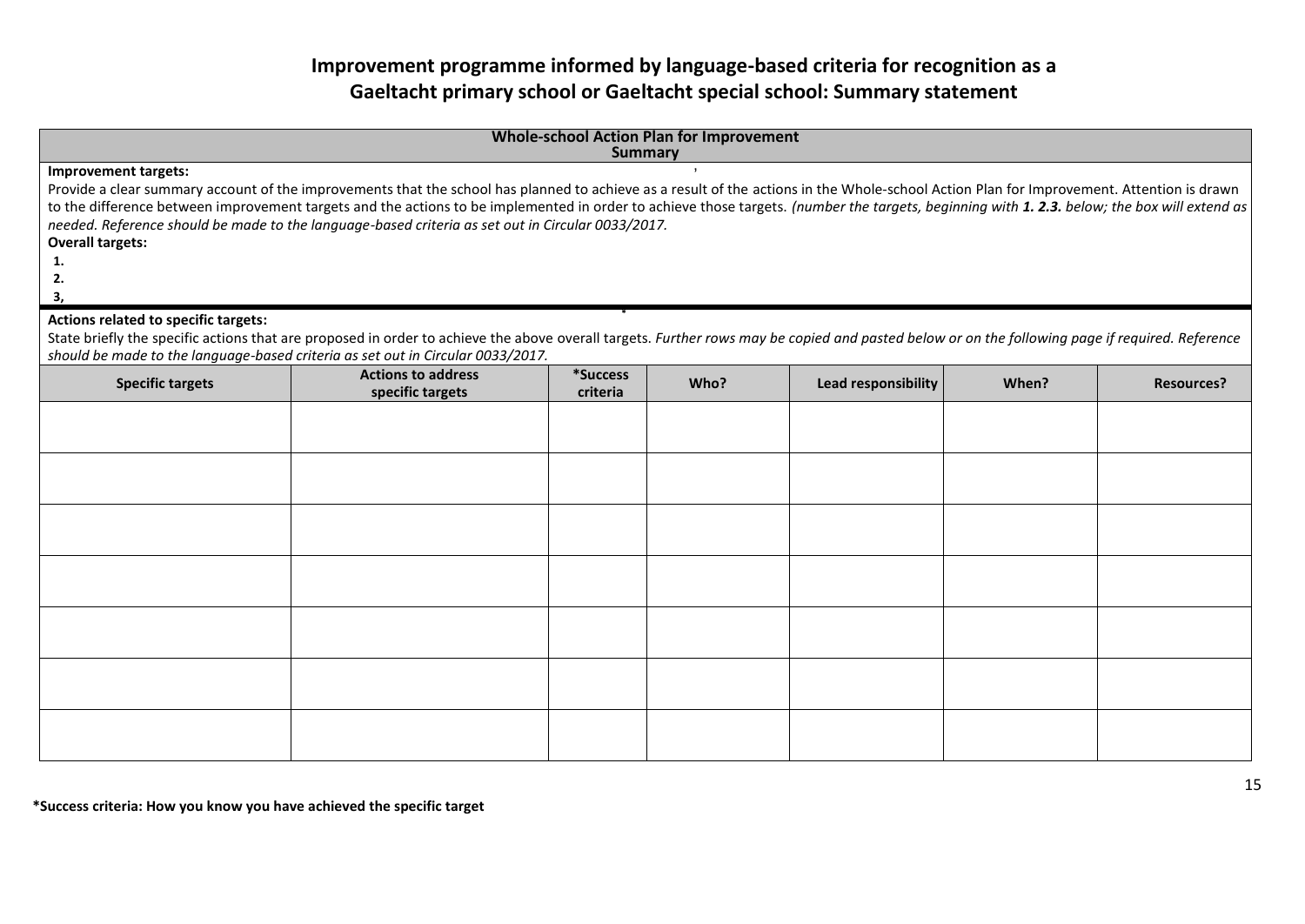# **Improvement programme informed by language-based criteria for recognition as a Gaeltacht primary school or Gaeltacht special school: Summary statement**

| <b>Whole-school Action Plan for Improvement</b><br><b>Summary</b>                                                                                                                            |                                                                                                                                                                                                                                                                                    |          |      |                     |       |                   |
|----------------------------------------------------------------------------------------------------------------------------------------------------------------------------------------------|------------------------------------------------------------------------------------------------------------------------------------------------------------------------------------------------------------------------------------------------------------------------------------|----------|------|---------------------|-------|-------------------|
| <b>Improvement targets:</b>                                                                                                                                                                  |                                                                                                                                                                                                                                                                                    |          |      |                     |       |                   |
|                                                                                                                                                                                              | Provide a clear summary account of the improvements that the school has planned to achieve as a result of the actions in the Whole-school Action Plan for Improvement. Attention is drawn                                                                                          |          |      |                     |       |                   |
| to the difference between improvement targets and the actions to be implemented in order to achieve those targets. (number the targets, beginning with 1. 2.3. below; the box will extend as |                                                                                                                                                                                                                                                                                    |          |      |                     |       |                   |
| needed. Reference should be made to the language-based criteria as set out in Circular 0033/2017.                                                                                            |                                                                                                                                                                                                                                                                                    |          |      |                     |       |                   |
| <b>Overall targets:</b>                                                                                                                                                                      |                                                                                                                                                                                                                                                                                    |          |      |                     |       |                   |
| 1.                                                                                                                                                                                           |                                                                                                                                                                                                                                                                                    |          |      |                     |       |                   |
| 2.                                                                                                                                                                                           |                                                                                                                                                                                                                                                                                    |          |      |                     |       |                   |
| 3,                                                                                                                                                                                           |                                                                                                                                                                                                                                                                                    |          |      |                     |       |                   |
| Actions related to specific targets:                                                                                                                                                         |                                                                                                                                                                                                                                                                                    |          |      |                     |       |                   |
|                                                                                                                                                                                              | State briefly the specific actions that are proposed in order to achieve the above overall targets. Further rows may be copied and pasted below or on the following page if required. Reference<br>should be made to the language-based criteria as set out in Circular 0033/2017. |          |      |                     |       |                   |
|                                                                                                                                                                                              | <b>Actions to address</b>                                                                                                                                                                                                                                                          | *Success |      |                     |       |                   |
| <b>Specific targets</b>                                                                                                                                                                      | specific targets                                                                                                                                                                                                                                                                   | criteria | Who? | Lead responsibility | When? | <b>Resources?</b> |
|                                                                                                                                                                                              |                                                                                                                                                                                                                                                                                    |          |      |                     |       |                   |
|                                                                                                                                                                                              |                                                                                                                                                                                                                                                                                    |          |      |                     |       |                   |
|                                                                                                                                                                                              |                                                                                                                                                                                                                                                                                    |          |      |                     |       |                   |
|                                                                                                                                                                                              |                                                                                                                                                                                                                                                                                    |          |      |                     |       |                   |
|                                                                                                                                                                                              |                                                                                                                                                                                                                                                                                    |          |      |                     |       |                   |
|                                                                                                                                                                                              |                                                                                                                                                                                                                                                                                    |          |      |                     |       |                   |
|                                                                                                                                                                                              |                                                                                                                                                                                                                                                                                    |          |      |                     |       |                   |
|                                                                                                                                                                                              |                                                                                                                                                                                                                                                                                    |          |      |                     |       |                   |
|                                                                                                                                                                                              |                                                                                                                                                                                                                                                                                    |          |      |                     |       |                   |
|                                                                                                                                                                                              |                                                                                                                                                                                                                                                                                    |          |      |                     |       |                   |
|                                                                                                                                                                                              |                                                                                                                                                                                                                                                                                    |          |      |                     |       |                   |
|                                                                                                                                                                                              |                                                                                                                                                                                                                                                                                    |          |      |                     |       |                   |
|                                                                                                                                                                                              |                                                                                                                                                                                                                                                                                    |          |      |                     |       |                   |
|                                                                                                                                                                                              |                                                                                                                                                                                                                                                                                    |          |      |                     |       |                   |
|                                                                                                                                                                                              |                                                                                                                                                                                                                                                                                    |          |      |                     |       |                   |
|                                                                                                                                                                                              |                                                                                                                                                                                                                                                                                    |          |      |                     |       |                   |
|                                                                                                                                                                                              |                                                                                                                                                                                                                                                                                    |          |      |                     |       |                   |
|                                                                                                                                                                                              |                                                                                                                                                                                                                                                                                    |          |      |                     |       |                   |

**\*Success criteria: How you know you have achieved the specific target**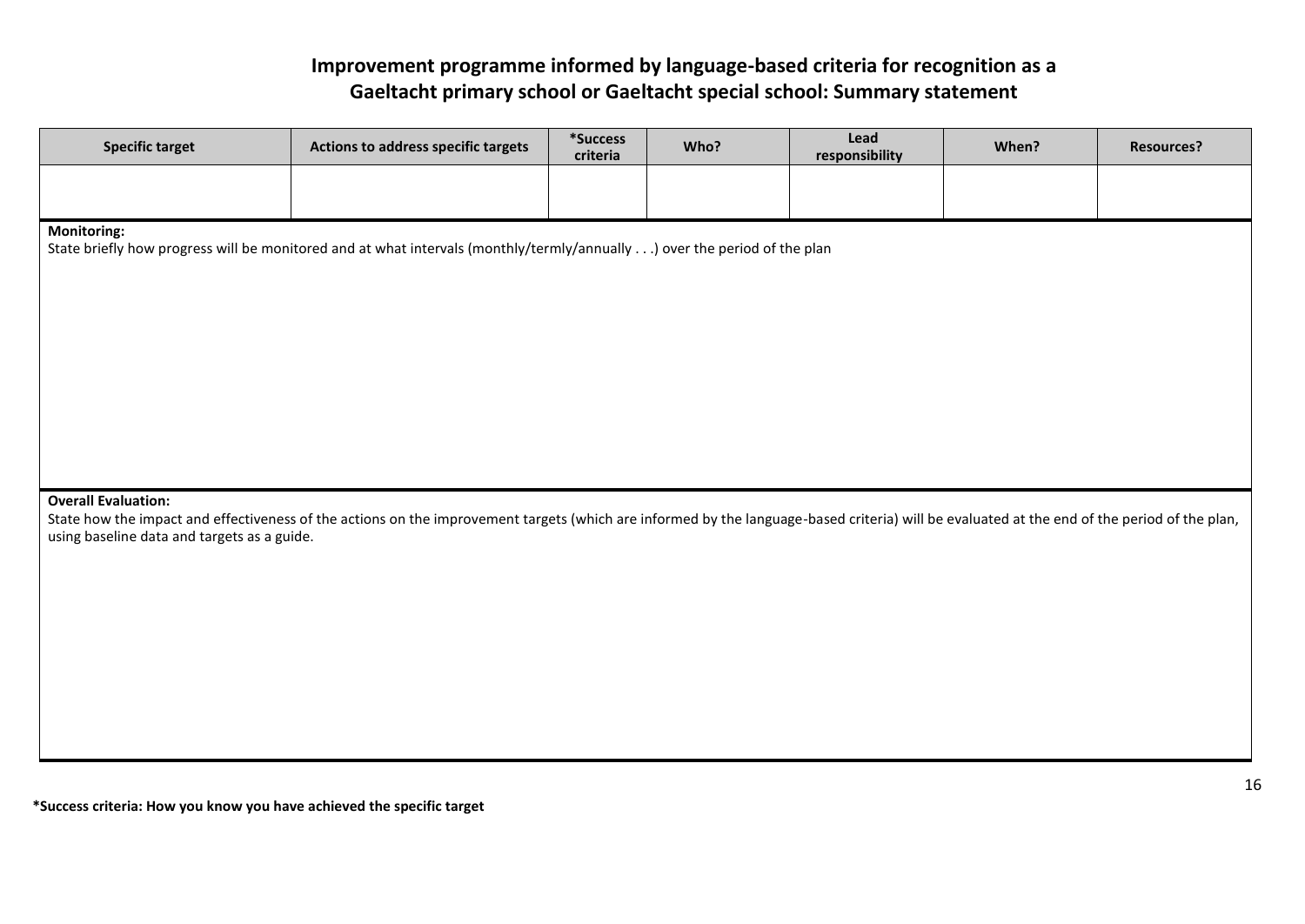# **Improvement programme informed by language-based criteria for recognition as a Gaeltacht primary school or Gaeltacht special school: Summary statement**

| <b>Specific target</b>                      | Actions to address specific targets                                                                                                                                                          | *Success<br>criteria | Who? | Lead<br>responsibility | When? | <b>Resources?</b> |
|---------------------------------------------|----------------------------------------------------------------------------------------------------------------------------------------------------------------------------------------------|----------------------|------|------------------------|-------|-------------------|
|                                             |                                                                                                                                                                                              |                      |      |                        |       |                   |
| <b>Monitoring:</b>                          | State briefly how progress will be monitored and at what intervals (monthly/termly/annually) over the period of the plan                                                                     |                      |      |                        |       |                   |
|                                             |                                                                                                                                                                                              |                      |      |                        |       |                   |
|                                             |                                                                                                                                                                                              |                      |      |                        |       |                   |
| <b>Overall Evaluation:</b>                  |                                                                                                                                                                                              |                      |      |                        |       |                   |
| using baseline data and targets as a guide. | State how the impact and effectiveness of the actions on the improvement targets (which are informed by the language-based criteria) will be evaluated at the end of the period of the plan, |                      |      |                        |       |                   |
|                                             |                                                                                                                                                                                              |                      |      |                        |       |                   |
|                                             |                                                                                                                                                                                              |                      |      |                        |       |                   |